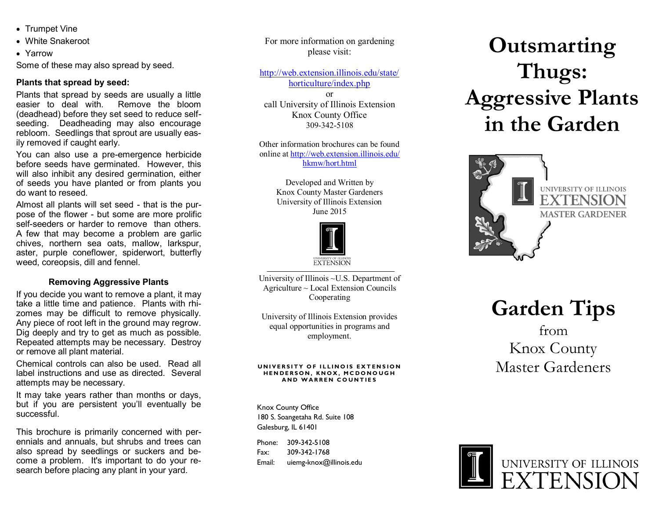- Trumpet Vine
- White Snakeroot
- Yarrow

Some of these may also spread by seed.

### **Plants that spread by seed:**

Plants that spread by seeds are usually a little easier to deal with. Remove the bloom (deadhead) before they set seed to reduce selfseeding. Deadheading may also encourage rebloom. Seedlings that sprout are usually easily removed if caught early.

You can also use a pre-emergence herbicide before seeds have germinated. However, this will also inhibit any desired germination, either of seeds you have planted or from plants you do want to reseed.

Almost all plants will set seed - that is the purpose of the flower - but some are more prolific self-seeders or harder to remove than others. A few that may become a problem are garlic chives, northern sea oats, mallow, larkspur, aster, purple coneflower, spiderwort, butterfly weed, coreopsis, dill and fennel.

### **Removing Aggressive Plants**

If you decide you want to remove a plant, it may take a little time and patience. Plants with rhizomes may be difficult to remove physically. Any piece of root left in the ground may regrow. Dig deeply and try to get as much as possible. Repeated attempts may be necessary. Destroy or remove all plant material.

Chemical controls can also be used. Read all label instructions and use as directed. Several attempts may be necessary.

It may take years rather than months or days, but if you are persistent you'll eventually be successful.

This brochure is primarily concerned with perennials and annuals, but shrubs and trees can also spread by seedlings or suckers and become a problem. It's important to do your research before placing any plant in your yard.

For more information on gardening please visit:

[http://web.extension.illinois.edu/state/](http://web.extension.illinois.edu/state/horticulture/index.php)

[horticulture/index.php](http://web.extension.illinois.edu/state/horticulture/index.php) or

call University of Illinois Extension Knox County Office 309-342-5108

Other information brochures can be found online at [http://web.extension.illinois.edu/](http://web.extension.illinois.edu/hkmw/hort.html) [hkmw/hort.html](http://web.extension.illinois.edu/hkmw/hort.html)

> Developed and Written by Knox County Master Gardeners University of Illinois Extension June 2015



University of Illinois ~U.S. Department of Agriculture ~ Local Extension Councils Cooperating

University of Illinois Extension provides equal opportunities in programs and employment.

#### **UNIVERSITY OF ILLINOIS EXTENSION HENDERSON, KNOX, MCDONOUGH A N D W A R R E N C O U N T I E S**

Knox County Office 180 S. Soangetaha Rd. Suite 108 Galesburg, IL 61401

Phone: 309-342-5108 Fax: 309-342-1768 Email: uiemg-knox@illinois.edu

# **Outsmarting Thugs: Aggressive Plants in the Garden**



**Garden Tips**

## from Knox County Master Gardeners